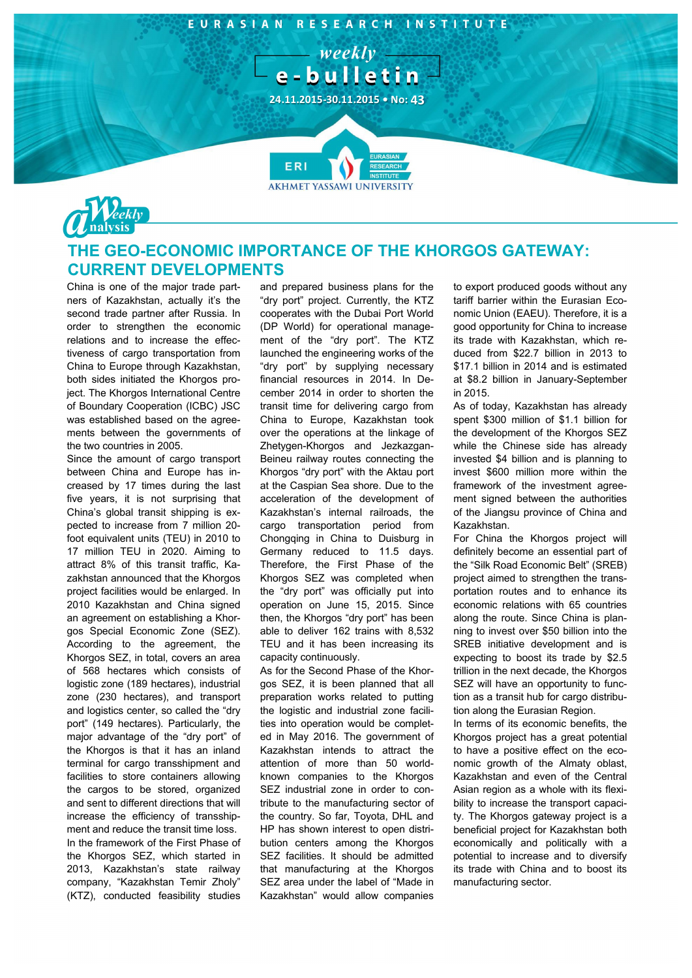



## **THE GEO-ECONOMIC IMPORTANCE OF THE KHORGOS GATEWAY: CURRENT DEVELOPMENTS**

China is one of the major trade partners of Kazakhstan, actually it's the second trade partner after Russia. In order to strengthen the economic relations and to increase the effectiveness of cargo transportation from China to Europe through Kazakhstan, both sides initiated the Khorgos project. The Khorgos International Centre of Boundary Cooperation (ICBC) JSC was established based on the agreements between the governments of the two countries in 2005.

Since the amount of cargo transport between China and Europe has increased by 17 times during the last five years, it is not surprising that China's global transit shipping is expected to increase from 7 million 20 foot equivalent units (TEU) in 2010 to 17 million TEU in 2020. Aiming to attract 8% of this transit traffic, Kazakhstan announced that the Khorgos project facilities would be enlarged. In 2010 Kazakhstan and China signed an agreement on establishing a Khorgos Special Economic Zone (SEZ). According to the agreement, the Khorgos SEZ, in total, covers an area of 568 hectares which consists of logistic zone (189 hectares), industrial zone (230 hectares), and transport and logistics center, so called the "dry port" (149 hectares). Particularly, the major advantage of the "dry port" of the Khorgos is that it has an inland terminal for cargo transshipment and facilities to store containers allowing the cargos to be stored, organized and sent to different directions that will increase the efficiency of transshipment and reduce the transit time loss. In the framework of the First Phase of the Khorgos SEZ, which started in 2013, Kazakhstan's state railway company, "Kazakhstan Temir Zholy" (KTZ), conducted feasibility studies

and prepared business plans for the "dry port" project. Currently, the KTZ cooperates with the Dubai Port World (DP World) for operational management of the "dry port". The KTZ launched the engineering works of the "dry port" by supplying necessary financial resources in 2014. In December 2014 in order to shorten the transit time for delivering cargo from China to Europe, Kazakhstan took over the operations at the linkage of Zhetygen-Khorgos and Jezkazgan-Beineu railway routes connecting the Khorgos "dry port" with the Aktau port at the Caspian Sea shore. Due to the acceleration of the development of Kazakhstan's internal railroads, the cargo transportation period from Chongqing in China to Duisburg in Germany reduced to 11.5 days. Therefore, the First Phase of the Khorgos SEZ was completed when the "dry port" was officially put into operation on June 15, 2015. Since then, the Khorgos "dry port" has been able to deliver 162 trains with 8,532 TEU and it has been increasing its capacity continuously.

As for the Second Phase of the Khorgos SEZ, it is been planned that all preparation works related to putting the logistic and industrial zone facilities into operation would be completed in May 2016. The government of Kazakhstan intends to attract the attention of more than 50 worldknown companies to the Khorgos SEZ industrial zone in order to contribute to the manufacturing sector of the country. So far, Toyota, DHL and HP has shown interest to open distribution centers among the Khorgos SEZ facilities. It should be admitted that manufacturing at the Khorgos SEZ area under the label of "Made in Kazakhstan" would allow companies

to export produced goods without any tariff barrier within the Eurasian Economic Union (EAEU). Therefore, it is a good opportunity for China to increase its trade with Kazakhstan, which reduced from \$22.7 billion in 2013 to \$17.1 billion in 2014 and is estimated at \$8.2 billion in January-September in 2015.

As of today, Kazakhstan has already spent \$300 million of \$1.1 billion for the development of the Khorgos SEZ while the Chinese side has already invested \$4 billion and is planning to invest \$600 million more within the framework of the investment agreement signed between the authorities of the Jiangsu province of China and Kazakhstan.

For China the Khorgos project will definitely become an essential part of the "Silk Road Economic Belt" (SREB) project aimed to strengthen the transportation routes and to enhance its economic relations with 65 countries along the route. Since China is planning to invest over \$50 billion into the SREB initiative development and is expecting to boost its trade by \$2.5 trillion in the next decade, the Khorgos SEZ will have an opportunity to function as a transit hub for cargo distribution along the Eurasian Region.

In terms of its economic benefits, the Khorgos project has a great potential to have a positive effect on the economic growth of the Almaty oblast, Kazakhstan and even of the Central Asian region as a whole with its flexibility to increase the transport capacity. The Khorgos gateway project is a beneficial project for Kazakhstan both economically and politically with a potential to increase and to diversify its trade with China and to boost its manufacturing sector.